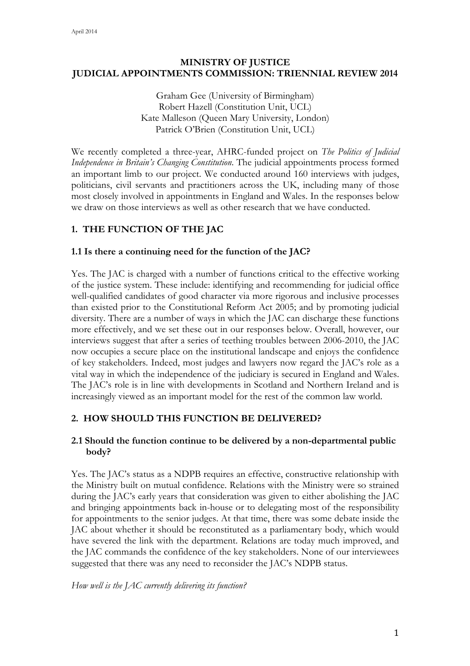## **MINISTRY OF JUSTICE JUDICIAL APPOINTMENTS COMMISSION: TRIENNIAL REVIEW 2014**

Graham Gee (University of Birmingham) Robert Hazell (Constitution Unit, UCL) Kate Malleson (Queen Mary University, London) Patrick O'Brien (Constitution Unit, UCL)

We recently completed a three-year, AHRC-funded project on *The Politics of Judicial Independence in Britain's Changing Constitution*. The judicial appointments process formed an important limb to our project. We conducted around 160 interviews with judges, politicians, civil servants and practitioners across the UK, including many of those most closely involved in appointments in England and Wales. In the responses below we draw on those interviews as well as other research that we have conducted.

## **1. THE FUNCTION OF THE JAC**

#### **1.1 Is there a continuing need for the function of the JAC?**

Yes. The JAC is charged with a number of functions critical to the effective working of the justice system. These include: identifying and recommending for judicial office well-qualified candidates of good character via more rigorous and inclusive processes than existed prior to the Constitutional Reform Act 2005; and by promoting judicial diversity. There are a number of ways in which the JAC can discharge these functions more effectively, and we set these out in our responses below. Overall, however, our interviews suggest that after a series of teething troubles between 2006-2010, the JAC now occupies a secure place on the institutional landscape and enjoys the confidence of key stakeholders. Indeed, most judges and lawyers now regard the JAC's role as a vital way in which the independence of the judiciary is secured in England and Wales. The JAC's role is in line with developments in Scotland and Northern Ireland and is increasingly viewed as an important model for the rest of the common law world.

## **2. HOW SHOULD THIS FUNCTION BE DELIVERED?**

## **2.1 Should the function continue to be delivered by a non-departmental public body?**

Yes. The JAC's status as a NDPB requires an effective, constructive relationship with the Ministry built on mutual confidence. Relations with the Ministry were so strained during the JAC's early years that consideration was given to either abolishing the JAC and bringing appointments back in-house or to delegating most of the responsibility for appointments to the senior judges. At that time, there was some debate inside the JAC about whether it should be reconstituted as a parliamentary body, which would have severed the link with the department. Relations are today much improved, and the JAC commands the confidence of the key stakeholders. None of our interviewees suggested that there was any need to reconsider the JAC's NDPB status.

*How well is the JAC currently delivering its function?*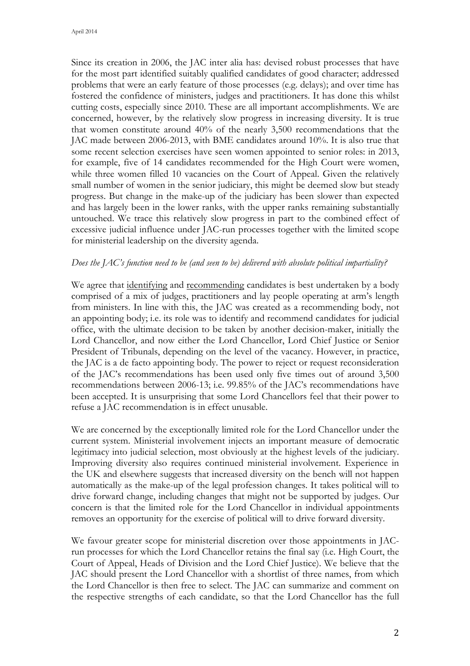Since its creation in 2006, the JAC inter alia has: devised robust processes that have for the most part identified suitably qualified candidates of good character; addressed problems that were an early feature of those processes (e.g. delays); and over time has fostered the confidence of ministers, judges and practitioners. It has done this whilst cutting costs, especially since 2010. These are all important accomplishments. We are concerned, however, by the relatively slow progress in increasing diversity. It is true that women constitute around 40% of the nearly 3,500 recommendations that the JAC made between 2006-2013, with BME candidates around 10%. It is also true that some recent selection exercises have seen women appointed to senior roles: in 2013, for example, five of 14 candidates recommended for the High Court were women, while three women filled 10 vacancies on the Court of Appeal. Given the relatively small number of women in the senior judiciary, this might be deemed slow but steady progress. But change in the make-up of the judiciary has been slower than expected and has largely been in the lower ranks, with the upper ranks remaining substantially untouched. We trace this relatively slow progress in part to the combined effect of excessive judicial influence under JAC-run processes together with the limited scope for ministerial leadership on the diversity agenda.

#### *Does the JAC's function need to be (and seen to be) delivered with absolute political impartiality?*

We agree that identifying and recommending candidates is best undertaken by a body comprised of a mix of judges, practitioners and lay people operating at arm's length from ministers. In line with this, the JAC was created as a recommending body, not an appointing body; i.e. its role was to identify and recommend candidates for judicial office, with the ultimate decision to be taken by another decision-maker, initially the Lord Chancellor, and now either the Lord Chancellor, Lord Chief Justice or Senior President of Tribunals, depending on the level of the vacancy. However, in practice, the JAC is a de facto appointing body. The power to reject or request reconsideration of the JAC's recommendations has been used only five times out of around 3,500 recommendations between 2006-13; i.e. 99.85% of the JAC's recommendations have been accepted. It is unsurprising that some Lord Chancellors feel that their power to refuse a JAC recommendation is in effect unusable.

We are concerned by the exceptionally limited role for the Lord Chancellor under the current system. Ministerial involvement injects an important measure of democratic legitimacy into judicial selection, most obviously at the highest levels of the judiciary. Improving diversity also requires continued ministerial involvement. Experience in the UK and elsewhere suggests that increased diversity on the bench will not happen automatically as the make-up of the legal profession changes. It takes political will to drive forward change, including changes that might not be supported by judges. Our concern is that the limited role for the Lord Chancellor in individual appointments removes an opportunity for the exercise of political will to drive forward diversity.

We favour greater scope for ministerial discretion over those appointments in JACrun processes for which the Lord Chancellor retains the final say (i.e. High Court, the Court of Appeal, Heads of Division and the Lord Chief Justice). We believe that the JAC should present the Lord Chancellor with a shortlist of three names, from which the Lord Chancellor is then free to select. The JAC can summarize and comment on the respective strengths of each candidate, so that the Lord Chancellor has the full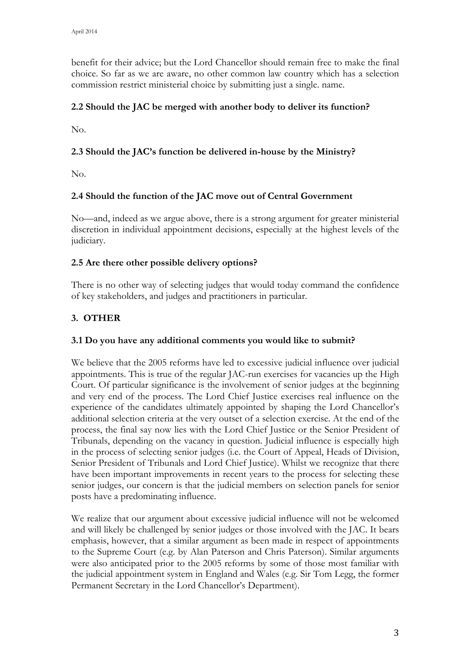benefit for their advice; but the Lord Chancellor should remain free to make the final choice. So far as we are aware, no other common law country which has a selection commission restrict ministerial choice by submitting just a single. name.

## **2.2 Should the JAC be merged with another body to deliver its function?**

No.

## **2.3 Should the JAC's function be delivered in-house by the Ministry?**

No.

## **2.4 Should the function of the JAC move out of Central Government**

No—and, indeed as we argue above, there is a strong argument for greater ministerial discretion in individual appointment decisions, especially at the highest levels of the judiciary.

## **2.5 Are there other possible delivery options?**

There is no other way of selecting judges that would today command the confidence of key stakeholders, and judges and practitioners in particular.

# **3. OTHER**

## **3.1 Do you have any additional comments you would like to submit?**

We believe that the 2005 reforms have led to excessive judicial influence over judicial appointments. This is true of the regular JAC-run exercises for vacancies up the High Court. Of particular significance is the involvement of senior judges at the beginning and very end of the process. The Lord Chief Justice exercises real influence on the experience of the candidates ultimately appointed by shaping the Lord Chancellor's additional selection criteria at the very outset of a selection exercise. At the end of the process, the final say now lies with the Lord Chief Justice or the Senior President of Tribunals, depending on the vacancy in question. Judicial influence is especially high in the process of selecting senior judges (i.e. the Court of Appeal, Heads of Division, Senior President of Tribunals and Lord Chief Justice). Whilst we recognize that there have been important improvements in recent years to the process for selecting these senior judges, our concern is that the judicial members on selection panels for senior posts have a predominating influence.

We realize that our argument about excessive judicial influence will not be welcomed and will likely be challenged by senior judges or those involved with the JAC. It bears emphasis, however, that a similar argument as been made in respect of appointments to the Supreme Court (e.g. by Alan Paterson and Chris Paterson). Similar arguments were also anticipated prior to the 2005 reforms by some of those most familiar with the judicial appointment system in England and Wales (e.g. Sir Tom Legg, the former Permanent Secretary in the Lord Chancellor's Department).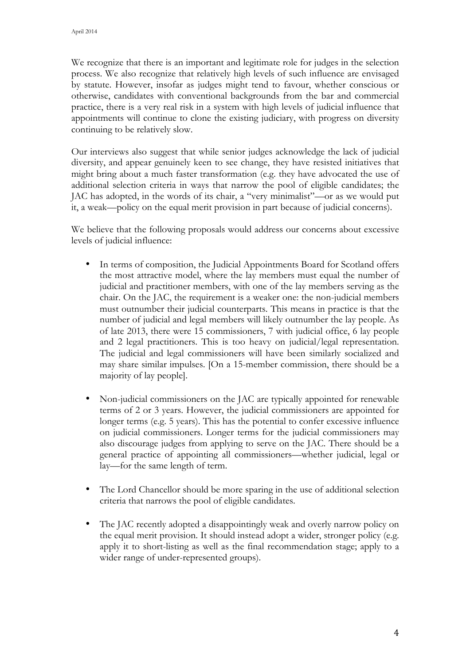We recognize that there is an important and legitimate role for judges in the selection process. We also recognize that relatively high levels of such influence are envisaged by statute. However, insofar as judges might tend to favour, whether conscious or otherwise, candidates with conventional backgrounds from the bar and commercial practice, there is a very real risk in a system with high levels of judicial influence that appointments will continue to clone the existing judiciary, with progress on diversity continuing to be relatively slow.

Our interviews also suggest that while senior judges acknowledge the lack of judicial diversity, and appear genuinely keen to see change, they have resisted initiatives that might bring about a much faster transformation (e.g. they have advocated the use of additional selection criteria in ways that narrow the pool of eligible candidates; the JAC has adopted, in the words of its chair, a "very minimalist"—or as we would put it, a weak—policy on the equal merit provision in part because of judicial concerns).

We believe that the following proposals would address our concerns about excessive levels of judicial influence:

- In terms of composition, the Judicial Appointments Board for Scotland offers the most attractive model, where the lay members must equal the number of judicial and practitioner members, with one of the lay members serving as the chair. On the JAC, the requirement is a weaker one: the non-judicial members must outnumber their judicial counterparts. This means in practice is that the number of judicial and legal members will likely outnumber the lay people. As of late 2013, there were 15 commissioners, 7 with judicial office, 6 lay people and 2 legal practitioners. This is too heavy on judicial/legal representation. The judicial and legal commissioners will have been similarly socialized and may share similar impulses. [On a 15-member commission, there should be a majority of lay people].
- Non-judicial commissioners on the JAC are typically appointed for renewable terms of 2 or 3 years. However, the judicial commissioners are appointed for longer terms (e.g. 5 years). This has the potential to confer excessive influence on judicial commissioners. Longer terms for the judicial commissioners may also discourage judges from applying to serve on the JAC. There should be a general practice of appointing all commissioners—whether judicial, legal or lay—for the same length of term.
- The Lord Chancellor should be more sparing in the use of additional selection criteria that narrows the pool of eligible candidates.
- The JAC recently adopted a disappointingly weak and overly narrow policy on the equal merit provision. It should instead adopt a wider, stronger policy (e.g. apply it to short-listing as well as the final recommendation stage; apply to a wider range of under-represented groups).